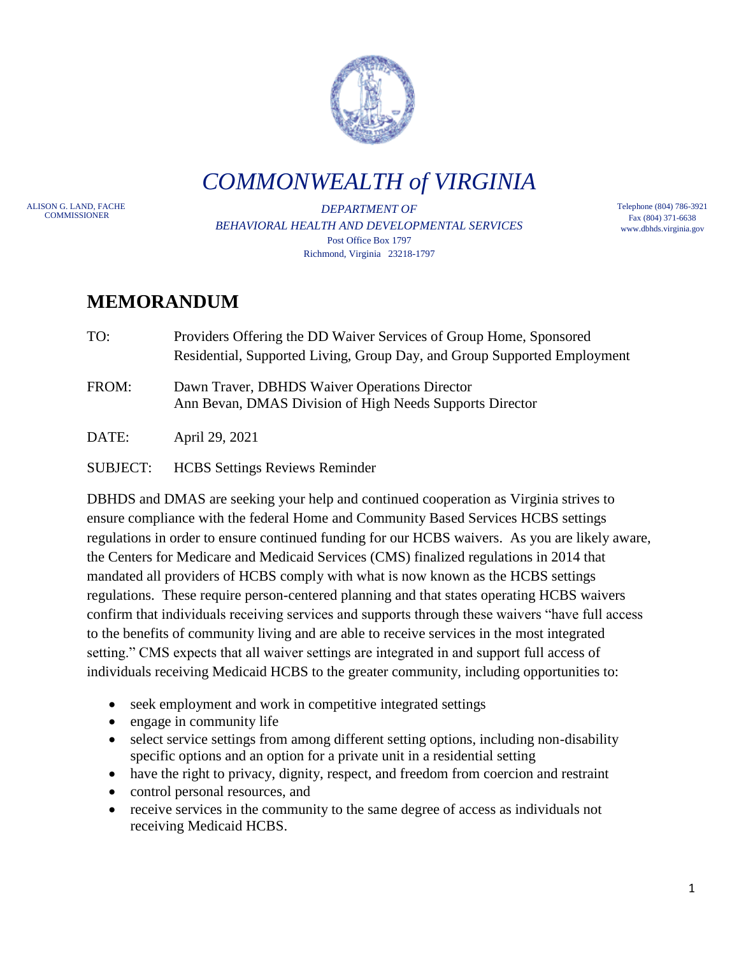

*COMMONWEALTH of VIRGINIA*

ALISON G. LAND, FACHE

DEPARTMENT OF *BEHAVIORAL HEALTH AND DEVELOPMENTAL SERVICES* Post Office Box 1797 Richmond, Virginia 23218-1797

Telephone (804) 786-3921 Fax (804) 371-6638 www.dbhds.virginia.gov

## **MEMORANDUM**

- TO: Providers Offering the DD Waiver Services of Group Home, Sponsored Residential, Supported Living, Group Day, and Group Supported Employment
- FROM: Dawn Traver, DBHDS Waiver Operations Director Ann Bevan, DMAS Division of High Needs Supports Director

DATE: April 29, 2021

## SUBJECT: HCBS Settings Reviews Reminder

DBHDS and DMAS are seeking your help and continued cooperation as Virginia strives to ensure compliance with the federal Home and Community Based Services HCBS settings regulations in order to ensure continued funding for our HCBS waivers. As you are likely aware, the Centers for Medicare and Medicaid Services (CMS) finalized regulations in 2014 that mandated all providers of HCBS comply with what is now known as the HCBS settings regulations. These require person-centered planning and that states operating HCBS waivers confirm that individuals receiving services and supports through these waivers "have full access to the benefits of community living and are able to receive services in the most integrated setting." CMS expects that all waiver settings are integrated in and support full access of individuals receiving Medicaid HCBS to the greater community, including opportunities to:

- seek employment and work in competitive integrated settings
- engage in community life
- select service settings from among different setting options, including non-disability specific options and an option for a private unit in a residential setting
- have the right to privacy, dignity, respect, and freedom from coercion and restraint
- control personal resources, and
- receive services in the community to the same degree of access as individuals not receiving Medicaid HCBS.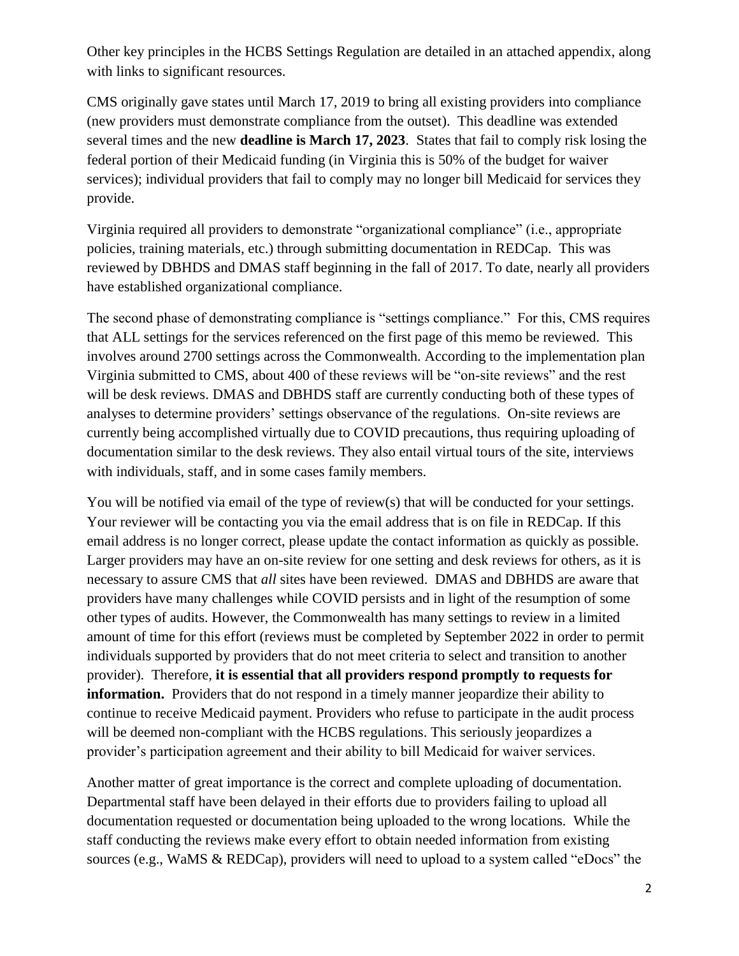Other key principles in the HCBS Settings Regulation are detailed in an attached appendix, along with links to significant resources.

CMS originally gave states until March 17, 2019 to bring all existing providers into compliance (new providers must demonstrate compliance from the outset). This deadline was extended several times and the new **deadline is March 17, 2023**. States that fail to comply risk losing the federal portion of their Medicaid funding (in Virginia this is 50% of the budget for waiver services); individual providers that fail to comply may no longer bill Medicaid for services they provide.

Virginia required all providers to demonstrate "organizational compliance" (i.e., appropriate policies, training materials, etc.) through submitting documentation in REDCap. This was reviewed by DBHDS and DMAS staff beginning in the fall of 2017. To date, nearly all providers have established organizational compliance.

The second phase of demonstrating compliance is "settings compliance." For this, CMS requires that ALL settings for the services referenced on the first page of this memo be reviewed. This involves around 2700 settings across the Commonwealth. According to the implementation plan Virginia submitted to CMS, about 400 of these reviews will be "on-site reviews" and the rest will be desk reviews. DMAS and DBHDS staff are currently conducting both of these types of analyses to determine providers' settings observance of the regulations. On-site reviews are currently being accomplished virtually due to COVID precautions, thus requiring uploading of documentation similar to the desk reviews. They also entail virtual tours of the site, interviews with individuals, staff, and in some cases family members.

You will be notified via email of the type of review(s) that will be conducted for your settings. Your reviewer will be contacting you via the email address that is on file in REDCap. If this email address is no longer correct, please update the contact information as quickly as possible. Larger providers may have an on-site review for one setting and desk reviews for others, as it is necessary to assure CMS that *all* sites have been reviewed. DMAS and DBHDS are aware that providers have many challenges while COVID persists and in light of the resumption of some other types of audits. However, the Commonwealth has many settings to review in a limited amount of time for this effort (reviews must be completed by September 2022 in order to permit individuals supported by providers that do not meet criteria to select and transition to another provider). Therefore, **it is essential that all providers respond promptly to requests for information.** Providers that do not respond in a timely manner jeopardize their ability to continue to receive Medicaid payment. Providers who refuse to participate in the audit process will be deemed non-compliant with the HCBS regulations. This seriously jeopardizes a provider's participation agreement and their ability to bill Medicaid for waiver services.

Another matter of great importance is the correct and complete uploading of documentation. Departmental staff have been delayed in their efforts due to providers failing to upload all documentation requested or documentation being uploaded to the wrong locations. While the staff conducting the reviews make every effort to obtain needed information from existing sources (e.g., WaMS & REDCap), providers will need to upload to a system called "eDocs" the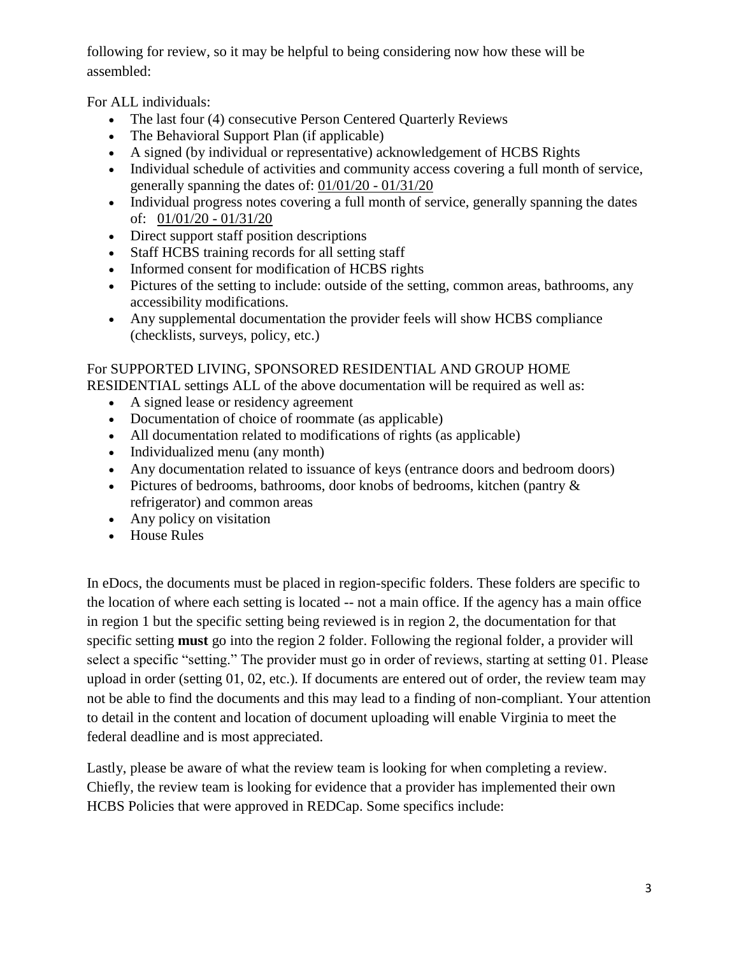following for review, so it may be helpful to being considering now how these will be assembled:

For ALL individuals:

- The last four (4) consecutive Person Centered Quarterly Reviews
- The Behavioral Support Plan (if applicable)
- A signed (by individual or representative) acknowledgement of HCBS Rights
- Individual schedule of activities and community access covering a full month of service, generally spanning the dates of: 01/01/20 - 01/31/20
- Individual progress notes covering a full month of service, generally spanning the dates of: 01/01/20 - 01/31/20
- Direct support staff position descriptions
- Staff HCBS training records for all setting staff
- Informed consent for modification of HCBS rights
- Pictures of the setting to include: outside of the setting, common areas, bathrooms, any accessibility modifications.
- Any supplemental documentation the provider feels will show HCBS compliance (checklists, surveys, policy, etc.)

## For SUPPORTED LIVING, SPONSORED RESIDENTIAL AND GROUP HOME

RESIDENTIAL settings ALL of the above documentation will be required as well as:

- A signed lease or residency agreement
- Documentation of choice of roommate (as applicable)
- All documentation related to modifications of rights (as applicable)
- Individualized menu (any month)
- Any documentation related to issuance of keys (entrance doors and bedroom doors)
- Pictures of bedrooms, bathrooms, door knobs of bedrooms, kitchen (pantry  $\&$ refrigerator) and common areas
- Any policy on visitation
- House Rules

In eDocs, the documents must be placed in region-specific folders. These folders are specific to the location of where each setting is located -- not a main office. If the agency has a main office in region 1 but the specific setting being reviewed is in region 2, the documentation for that specific setting **must** go into the region 2 folder. Following the regional folder, a provider will select a specific "setting." The provider must go in order of reviews, starting at setting 01. Please upload in order (setting 01, 02, etc.). If documents are entered out of order, the review team may not be able to find the documents and this may lead to a finding of non-compliant. Your attention to detail in the content and location of document uploading will enable Virginia to meet the federal deadline and is most appreciated.

Lastly, please be aware of what the review team is looking for when completing a review. Chiefly, the review team is looking for evidence that a provider has implemented their own HCBS Policies that were approved in REDCap. Some specifics include: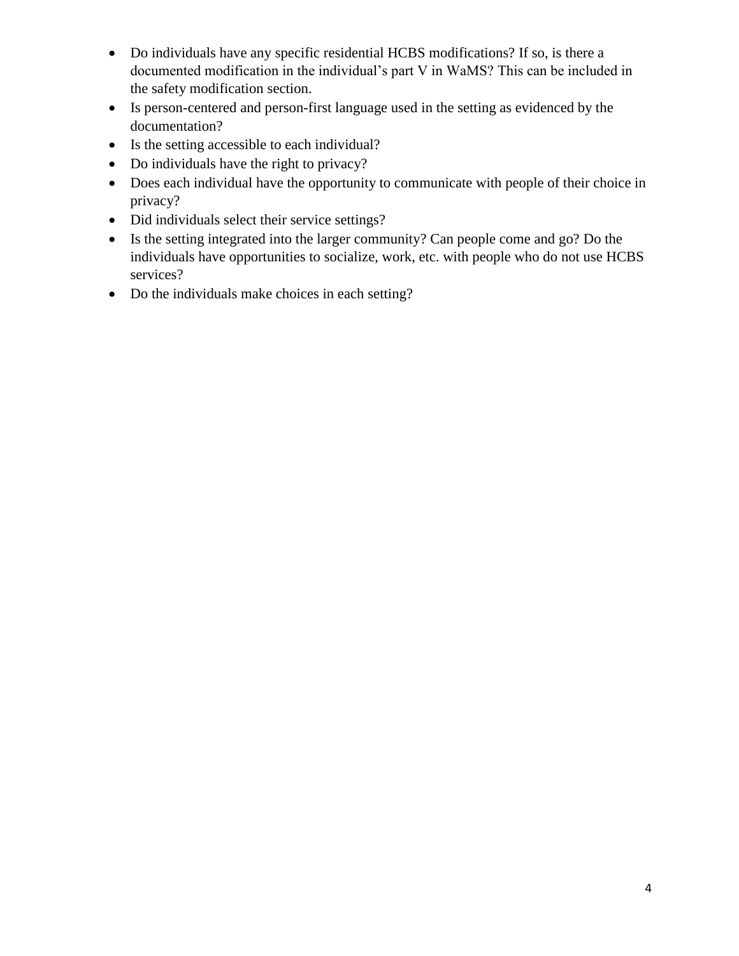- Do individuals have any specific residential HCBS modifications? If so, is there a documented modification in the individual's part V in WaMS? This can be included in the safety modification section.
- Is person-centered and person-first language used in the setting as evidenced by the documentation?
- Is the setting accessible to each individual?
- Do individuals have the right to privacy?
- Does each individual have the opportunity to communicate with people of their choice in privacy?
- Did individuals select their service settings?
- Is the setting integrated into the larger community? Can people come and go? Do the individuals have opportunities to socialize, work, etc. with people who do not use HCBS services?
- Do the individuals make choices in each setting?